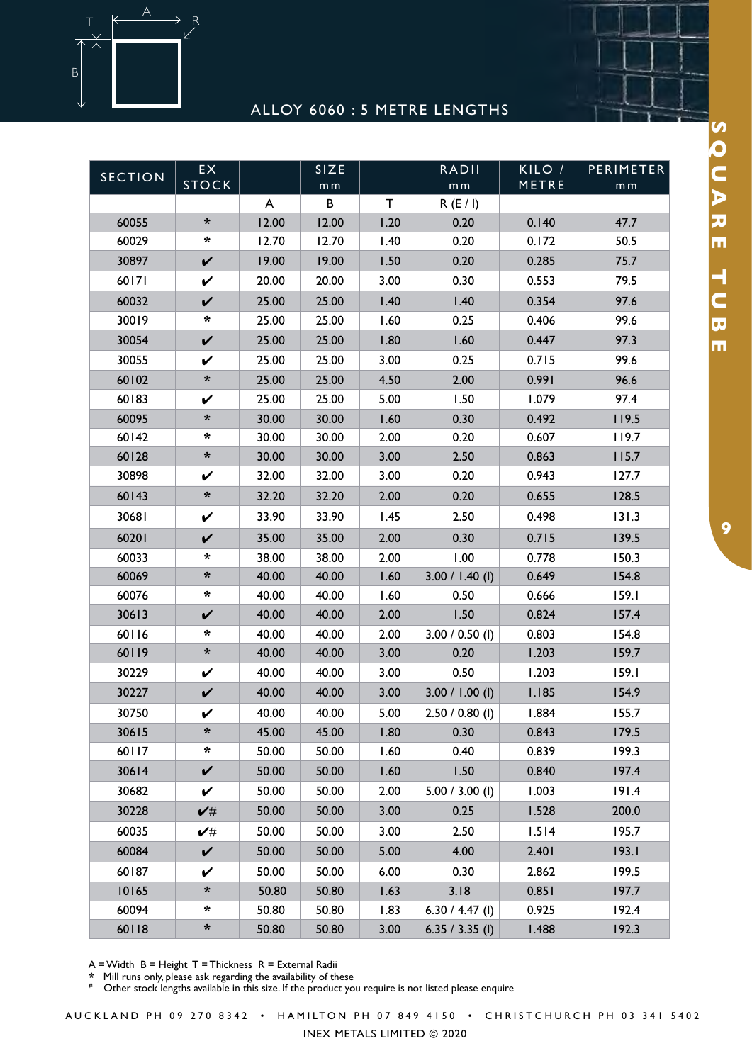

## ALLOY 6060 : 5 METRE LENGTHS

| <b>SECTION</b> | EX.<br><b>STOCK</b>  |       | SIZE<br>m <sub>m</sub> |      | <b>RADII</b><br>m <sub>m</sub> | KILO /<br>METRE | PERIMETER<br>m <sub>m</sub> |
|----------------|----------------------|-------|------------------------|------|--------------------------------|-----------------|-----------------------------|
|                |                      | A     | B                      | T    | R(E/I)                         |                 |                             |
| 60055          | $\ast$               | 12.00 | 12.00                  | 1.20 | 0.20                           | 0.140           | 47.7                        |
| 60029          | *                    | 12.70 | 12.70                  | 1.40 | 0.20                           | 0.172           | 50.5                        |
| 30897          | $\checkmark$         | 19.00 | 19.00                  | 1.50 | 0.20                           | 0.285           | 75.7                        |
| 60171          | $\checkmark$         | 20.00 | 20.00                  | 3.00 | 0.30                           | 0.553           | 79.5                        |
| 60032          | $\checkmark$         | 25.00 | 25.00                  | 1.40 | 1.40                           | 0.354           | 97.6                        |
| 30019          | *                    | 25.00 | 25.00                  | 1.60 | 0.25                           | 0.406           | 99.6                        |
| 30054          | $\checkmark$         | 25.00 | 25.00                  | 1.80 | 1.60                           | 0.447           | 97.3                        |
| 30055          | V                    | 25.00 | 25.00                  | 3.00 | 0.25                           | 0.715           | 99.6                        |
| 60102          | $\boldsymbol{\star}$ | 25.00 | 25.00                  | 4.50 | 2.00                           | 0.991           | 96.6                        |
| 60183          | $\checkmark$         | 25.00 | 25.00                  | 5.00 | 1.50                           | 1.079           | 97.4                        |
| 60095          | *                    | 30.00 | 30.00                  | 1.60 | 0.30                           | 0.492           | 119.5                       |
| 60142          | *                    | 30.00 | 30.00                  | 2.00 | 0.20                           | 0.607           | 119.7                       |
| 60128          | $\ast$               | 30.00 | 30.00                  | 3.00 | 2.50                           | 0.863           | 115.7                       |
| 30898          | $\checkmark$         | 32.00 | 32.00                  | 3.00 | 0.20                           | 0.943           | 127.7                       |
| 60143          | *                    | 32.20 | 32.20                  | 2.00 | 0.20                           | 0.655           | 128.5                       |
| 30681          | $\checkmark$         | 33.90 | 33.90                  | 1.45 | 2.50                           | 0.498           | 131.3                       |
| 60201          | $\checkmark$         | 35.00 | 35.00                  | 2.00 | 0.30                           | 0.715           | 139.5                       |
| 60033          | *                    | 38.00 | 38.00                  | 2.00 | 1.00                           | 0.778           | 150.3                       |
| 60069          | $\boldsymbol{\star}$ | 40.00 | 40.00                  | 1.60 | $3.00 / 1.40$ (l)              | 0.649           | 154.8                       |
| 60076          | $\star$              | 40.00 | 40.00                  | 1.60 | 0.50                           | 0.666           | 159.1                       |
| 30613          | $\checkmark$         | 40.00 | 40.00                  | 2.00 | 1.50                           | 0.824           | 157.4                       |
| 60116          | *                    | 40.00 | 40.00                  | 2.00 | $3.00 / 0.50$ (l)              | 0.803           | 154.8                       |
| 60119          | $\boldsymbol{\star}$ | 40.00 | 40.00                  | 3.00 | 0.20                           | 1.203           | 159.7                       |
| 30229          | $\checkmark$         | 40.00 | 40.00                  | 3.00 | 0.50                           | 1.203           | 159.1                       |
| 30227          | $\checkmark$         | 40.00 | 40.00                  | 3.00 | $3.00 / 1.00$ (l)              | 1.185           | 154.9                       |
| 30750          | V                    | 40.00 | 40.00                  | 5.00 | $2.50 / 0.80$ (l)              | 1.884           | 155.7                       |
| 30615          | ∗                    | 45.00 | 45.00                  | 1.80 | 0.30                           | 0.843           | 179.5                       |
| 60117          | *                    | 50.00 | 50.00                  | 1.60 | 0.40                           | 0.839           | 199.3                       |
| 30614          | $\checkmark$         | 50.00 | 50.00                  | 1.60 | 1.50                           | 0.840           | 197.4                       |
| 30682          | $\checkmark$         | 50.00 | 50.00                  | 2.00 | $5.00 / 3.00$ (l)              | 1.003           | 191.4                       |
| 30228          | $\checkmark$ #       | 50.00 | 50.00                  | 3.00 | 0.25                           | 1.528           | 200.0                       |
| 60035          | ✔#                   | 50.00 | 50.00                  | 3.00 | 2.50                           | 1.514           | 195.7                       |
| 60084          | $\checkmark$         | 50.00 | 50.00                  | 5.00 | 4.00                           | 2.401           | 193.1                       |
| 60187          | V                    | 50.00 | 50.00                  | 6.00 | 0.30                           | 2.862           | 199.5                       |
| 10165          | *                    | 50.80 | 50.80                  | 1.63 | 3.18                           | 0.851           | 197.7                       |
| 60094          | *                    | 50.80 | 50.80                  | 1.83 | 6.30 / 4.47 (l)                | 0.925           | 192.4                       |
| 60118          | *                    | 50.80 | 50.80                  | 3.00 | 6.35 / 3.35 (l)                | 1.488           | 192.3                       |

A = Width B = Height T = Thickness R = External Radii

**\*** Mill runs only, please ask regarding the availability of these

<sup>2</sup> This case only, picace ask regarding are arametics, or according to the product you require is not listed please enquire

SQUARE TUBE **SQUARE TUBE DEFINITIONS**

A U C K L A N D P H 0 9 2 7 0 8 3 4 2 • H A M I L T ON P H 0 7 8 4 9 4 1 5 0 • C H R I S T C H U R C H P H 0 3 3 4 1 5 4 0 2

INEX METALS LIMITED © 2020